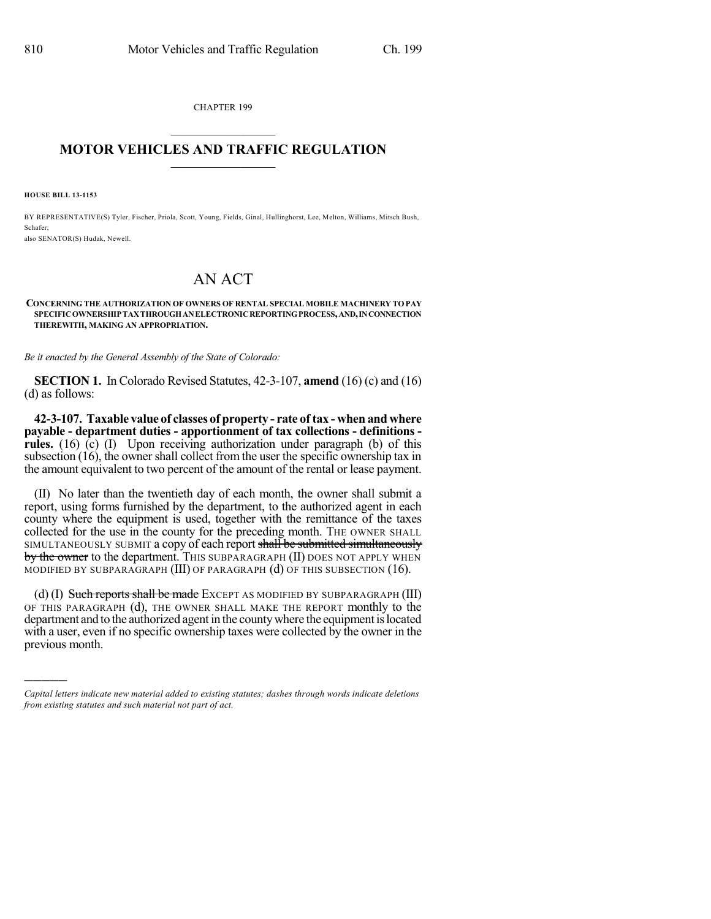CHAPTER 199

## $\overline{\phantom{a}}$  . The set of the set of the set of the set of the set of the set of the set of the set of the set of the set of the set of the set of the set of the set of the set of the set of the set of the set of the set o **MOTOR VEHICLES AND TRAFFIC REGULATION**  $\frac{1}{2}$  ,  $\frac{1}{2}$  ,  $\frac{1}{2}$  ,  $\frac{1}{2}$  ,  $\frac{1}{2}$  ,  $\frac{1}{2}$  ,  $\frac{1}{2}$

**HOUSE BILL 13-1153**

)))))

BY REPRESENTATIVE(S) Tyler, Fischer, Priola, Scott, Young, Fields, Ginal, Hullinghorst, Lee, Melton, Williams, Mitsch Bush, Schafer; also SENATOR(S) Hudak, Newell.

## AN ACT

## **CONCERNING THE AUTHORIZATION OF OWNERS OF RENTAL SPECIAL MOBILE MACHINERY TO PAY SPECIFICOWNERSHIPTAXTHROUGHANELECTRONICREPORTINGPROCESS,AND,INCONNECTION THEREWITH, MAKING AN APPROPRIATION.**

*Be it enacted by the General Assembly of the State of Colorado:*

**SECTION 1.** In Colorado Revised Statutes, 42-3-107, **amend** (16) (c) and (16) (d) as follows:

**42-3-107. Taxable value of classes of property - rate of tax - when and where payable - department duties - apportionment of tax collections - definitions rules.** (16) (c) (I) Upon receiving authorization under paragraph (b) of this subsection (16), the owner shall collect from the user the specific ownership tax in the amount equivalent to two percent of the amount of the rental or lease payment.

(II) No later than the twentieth day of each month, the owner shall submit a report, using forms furnished by the department, to the authorized agent in each county where the equipment is used, together with the remittance of the taxes collected for the use in the county for the preceding month. The OWNER SHALL SIMULTANEOUSLY SUBMIT a copy of each report shall be submitted simultaneously by the owner to the department. This SUBPARAGRAPH (II) DOES NOT APPLY WHEN MODIFIED BY SUBPARAGRAPH  $(III)$  OF PARAGRAPH  $(d)$  OF THIS SUBSECTION  $(16)$ .

(d)  $(I)$  Such reports shall be made EXCEPT AS MODIFIED BY SUBPARAGRAPH  $(III)$ OF THIS PARAGRAPH (d), THE OWNER SHALL MAKE THE REPORT monthly to the department and to the authorized agent in the county where the equipment is located with a user, even if no specific ownership taxes were collected by the owner in the previous month.

*Capital letters indicate new material added to existing statutes; dashes through words indicate deletions from existing statutes and such material not part of act.*